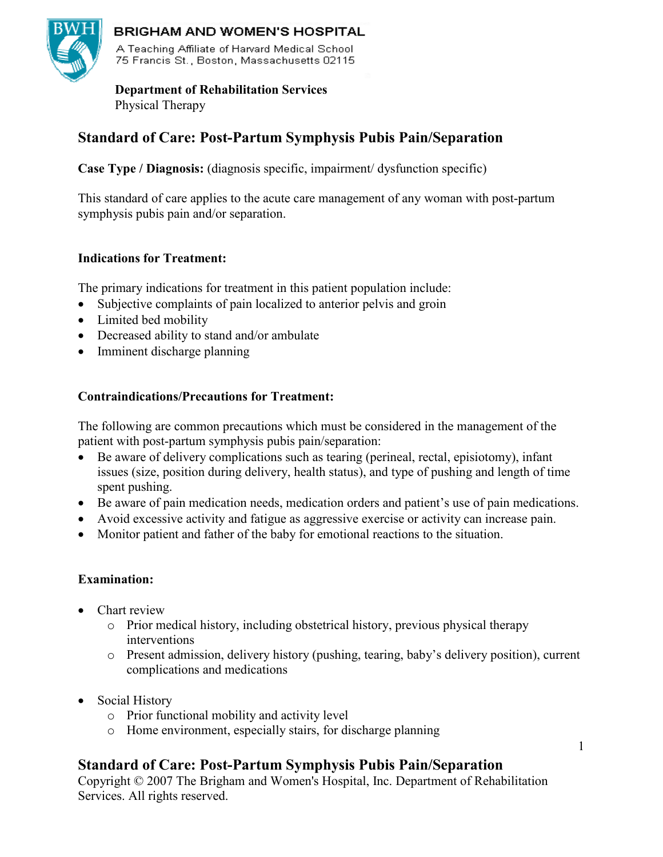

## BRIGHAM AND WOMEN'S HOSPITAL

A Teaching Affiliate of Harvard Medical School 75 Francis St., Boston, Massachusetts 02115

 **Department of Rehabilitation Services** 

Physical Therapy

# **Standard of Care: Post-Partum Symphysis Pubis Pain/Separation**

**Case Type / Diagnosis:** (diagnosis specific, impairment/ dysfunction specific)

This standard of care applies to the acute care management of any woman with post-partum symphysis pubis pain and/or separation.

## **Indications for Treatment:**

The primary indications for treatment in this patient population include:

- Subjective complaints of pain localized to anterior pelvis and groin
- Limited bed mobility
- Decreased ability to stand and/or ambulate
- Imminent discharge planning

### **Contraindications/Precautions for Treatment:**

The following are common precautions which must be considered in the management of the patient with post-partum symphysis pubis pain/separation:

- Be aware of delivery complications such as tearing (perineal, rectal, episiotomy), infant issues (size, position during delivery, health status), and type of pushing and length of time spent pushing.
- Be aware of pain medication needs, medication orders and patient's use of pain medications.
- Avoid excessive activity and fatigue as aggressive exercise or activity can increase pain.
- Monitor patient and father of the baby for emotional reactions to the situation.

## **Examination:**

- Chart review
	- o Prior medical history, including obstetrical history, previous physical therapy interventions
	- o Present admission, delivery history (pushing, tearing, baby's delivery position), current complications and medications
- Social History
	- o Prior functional mobility and activity level
	- o Home environment, especially stairs, for discharge planning

## **Standard of Care: Post-Partum Symphysis Pubis Pain/Separation**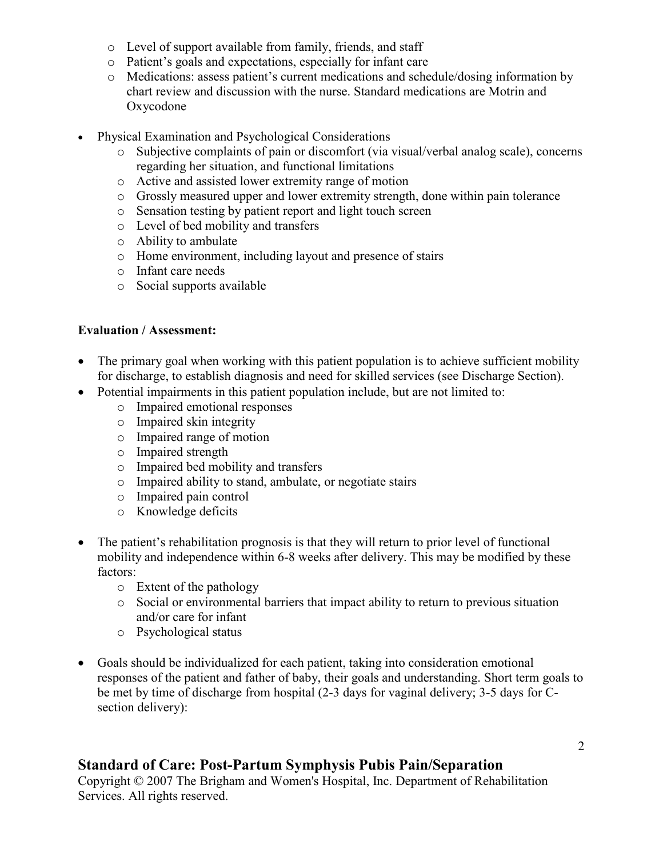- o Level of support available from family, friends, and staff
- o Patient's goals and expectations, especially for infant care
- o Medications: assess patient's current medications and schedule/dosing information by chart review and discussion with the nurse. Standard medications are Motrin and Oxycodone
- Physical Examination and Psychological Considerations
	- o Subjective complaints of pain or discomfort (via visual/verbal analog scale), concerns regarding her situation, and functional limitations
	- o Active and assisted lower extremity range of motion
	- o Grossly measured upper and lower extremity strength, done within pain tolerance
	- o Sensation testing by patient report and light touch screen
	- o Level of bed mobility and transfers
	- o Ability to ambulate
	- o Home environment, including layout and presence of stairs
	- o Infant care needs
	- o Social supports available

#### **Evaluation / Assessment:**

- The primary goal when working with this patient population is to achieve sufficient mobility for discharge, to establish diagnosis and need for skilled services (see Discharge Section).
- Potential impairments in this patient population include, but are not limited to:
	- o Impaired emotional responses
	- o Impaired skin integrity
	- o Impaired range of motion
	- o Impaired strength
	- o Impaired bed mobility and transfers
	- o Impaired ability to stand, ambulate, or negotiate stairs
	- o Impaired pain control
	- o Knowledge deficits
- The patient's rehabilitation prognosis is that they will return to prior level of functional mobility and independence within 6-8 weeks after delivery. This may be modified by these factors:
	- o Extent of the pathology
	- o Social or environmental barriers that impact ability to return to previous situation and/or care for infant
	- o Psychological status
- Goals should be individualized for each patient, taking into consideration emotional responses of the patient and father of baby, their goals and understanding. Short term goals to be met by time of discharge from hospital (2-3 days for vaginal delivery; 3-5 days for Csection delivery):

## **Standard of Care: Post-Partum Symphysis Pubis Pain/Separation**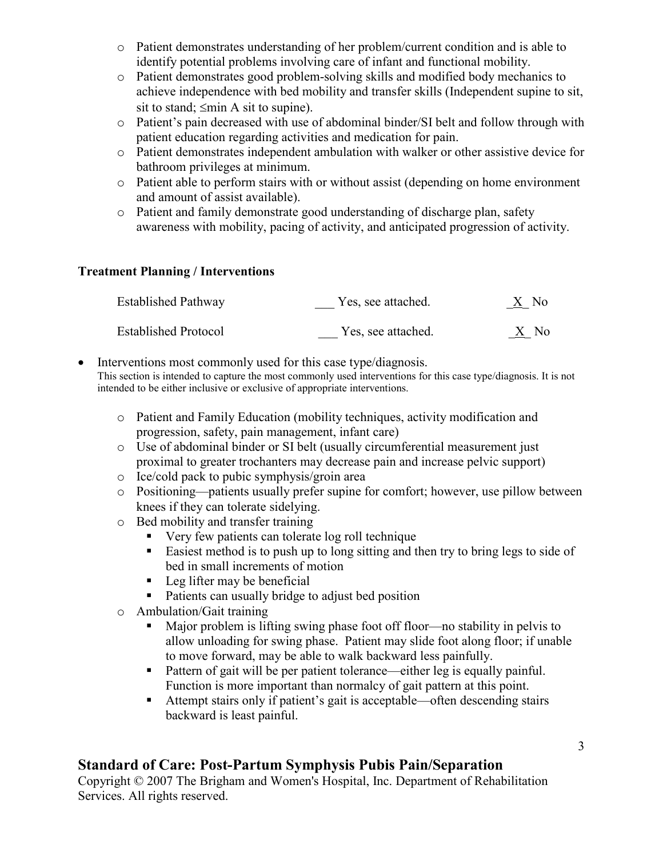- o Patient demonstrates understanding of her problem/current condition and is able to identify potential problems involving care of infant and functional mobility.
- o Patient demonstrates good problem-solving skills and modified body mechanics to achieve independence with bed mobility and transfer skills (Independent supine to sit, sit to stand;  $\leq$ min A sit to supine).
- o Patient's pain decreased with use of abdominal binder/SI belt and follow through with patient education regarding activities and medication for pain.
- o Patient demonstrates independent ambulation with walker or other assistive device for bathroom privileges at minimum.
- o Patient able to perform stairs with or without assist (depending on home environment and amount of assist available).
- o Patient and family demonstrate good understanding of discharge plan, safety awareness with mobility, pacing of activity, and anticipated progression of activity.

### **Treatment Planning / Interventions**

| <b>Established Pathway</b>  | Yes, see attached. | $\underline{X}$ No |
|-----------------------------|--------------------|--------------------|
| <b>Established Protocol</b> | Yes, see attached. | X No               |

Interventions most commonly used for this case type/diagnosis. This section is intended to capture the most commonly used interventions for this case type/diagnosis. It is not intended to be either inclusive or exclusive of appropriate interventions.

- o Patient and Family Education (mobility techniques, activity modification and progression, safety, pain management, infant care)
- o Use of abdominal binder or SI belt (usually circumferential measurement just proximal to greater trochanters may decrease pain and increase pelvic support)
- o Ice/cold pack to pubic symphysis/groin area
- o Positioning—patients usually prefer supine for comfort; however, use pillow between knees if they can tolerate sidelying.
- o Bed mobility and transfer training
	- Very few patients can tolerate log roll technique
	- Easiest method is to push up to long sitting and then try to bring legs to side of bed in small increments of motion
	- $\blacksquare$  Leg lifter may be beneficial
	- Patients can usually bridge to adjust bed position
- o Ambulation/Gait training
	- Major problem is lifting swing phase foot off floor—no stability in pelvis to allow unloading for swing phase. Patient may slide foot along floor; if unable to move forward, may be able to walk backward less painfully.
	- Pattern of gait will be per patient tolerance—either leg is equally painful. Function is more important than normalcy of gait pattern at this point.
	- Attempt stairs only if patient's gait is acceptable—often descending stairs backward is least painful.

## **Standard of Care: Post-Partum Symphysis Pubis Pain/Separation**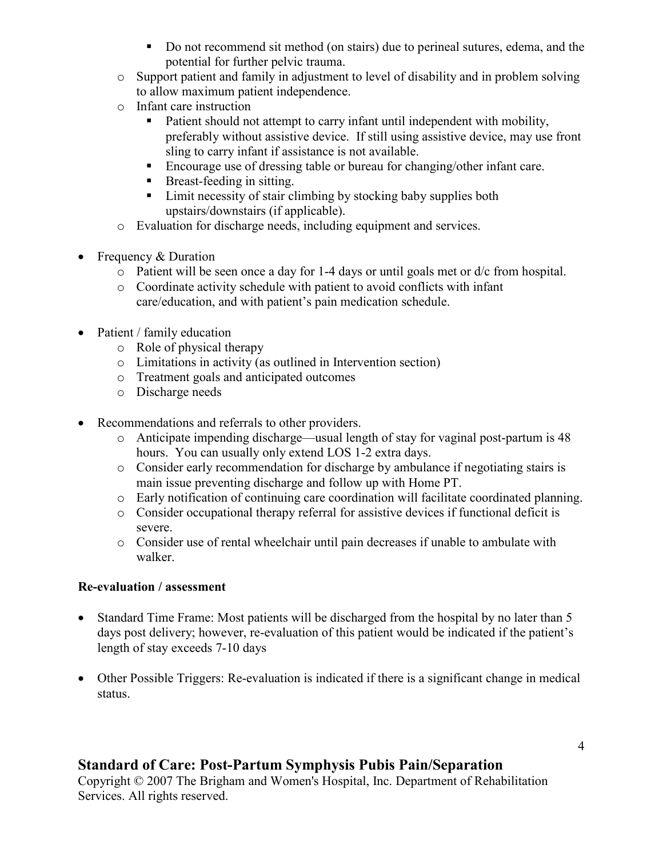- Do not recommend sit method (on stairs) due to perineal sutures, edema, and the potential for further pelvic trauma.
- o Support patient and family in adjustment to level of disability and in problem solving to allow maximum patient independence.
- o Infant care instruction
	- Patient should not attempt to carry infant until independent with mobility, preferably without assistive device. If still using assistive device, may use front sling to carry infant if assistance is not available.
	- Encourage use of dressing table or bureau for changing/other infant care.
	- Breast-feeding in sitting.
	- Limit necessity of stair climbing by stocking baby supplies both upstairs/downstairs (if applicable).
- o Evaluation for discharge needs, including equipment and services.
- Frequency & Duration
	- $\circ$  Patient will be seen once a day for 1-4 days or until goals met or d/c from hospital.
	- o Coordinate activity schedule with patient to avoid conflicts with infant care/education, and with patient's pain medication schedule.
- Patient / family education
	- o Role of physical therapy
	- o Limitations in activity (as outlined in Intervention section)
	- o Treatment goals and anticipated outcomes
	- o Discharge needs
- Recommendations and referrals to other providers.
	- o Anticipate impending discharge—usual length of stay for vaginal post-partum is 48 hours. You can usually only extend LOS 1-2 extra days.
	- o Consider early recommendation for discharge by ambulance if negotiating stairs is main issue preventing discharge and follow up with Home PT.
	- o Early notification of continuing care coordination will facilitate coordinated planning.
	- o Consider occupational therapy referral for assistive devices if functional deficit is severe.
	- o Consider use of rental wheelchair until pain decreases if unable to ambulate with walker.

#### **Re-evaluation / assessment**

- Standard Time Frame: Most patients will be discharged from the hospital by no later than 5 days post delivery; however, re-evaluation of this patient would be indicated if the patient's length of stay exceeds 7-10 days
- Other Possible Triggers: Re-evaluation is indicated if there is a significant change in medical status.

## **Standard of Care: Post-Partum Symphysis Pubis Pain/Separation**